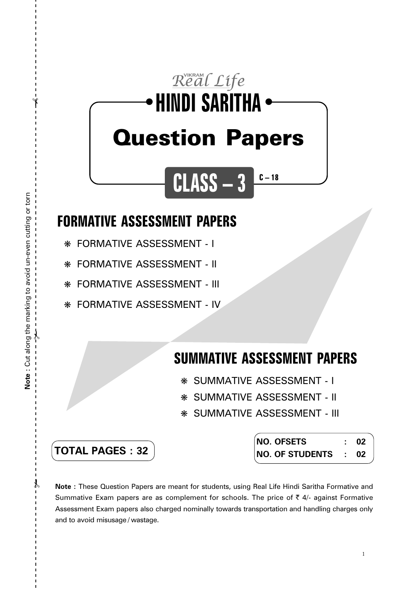# Real Life **HINDI SARITHA** ● ● Question Papers

**CLASS – 3**

### **FORMATIVE ASSESSMENT PAPERS**

❋ FORMATIVE ASSESSMENT - I

❋ FORMATIVE ASSESSMENT - II

❋ FORMATIVE ASSESSMENT - III

❋ FORMATIVE ASSESSMENT - IV

## **SUMMATIVE ASSESSMENT PAPERS**

**C – 18**

- ❋ SUMMATIVE ASSESSMENT I
- ❋ SUMMATIVE ASSESSMENT II
- ❋ SUMMATIVE ASSESSMENT III

| <b>TOTAL PAGES : 32</b> |
|-------------------------|
|-------------------------|

| NO. OFSETS           | -02 |
|----------------------|-----|
| NO. OF STUDENTS : 02 |     |

**Note :** These Question Papers are meant for students, using Real Life Hindi Saritha Formative and Summative Exam papers are as complement for schools. The price of  $\bar{\tau}$  4/- against Formative Assessment Exam papers also charged nominally towards transportation and handling charges only and to avoid misusage / wastage.

 $\mathcal Y$ 

 $\gamma$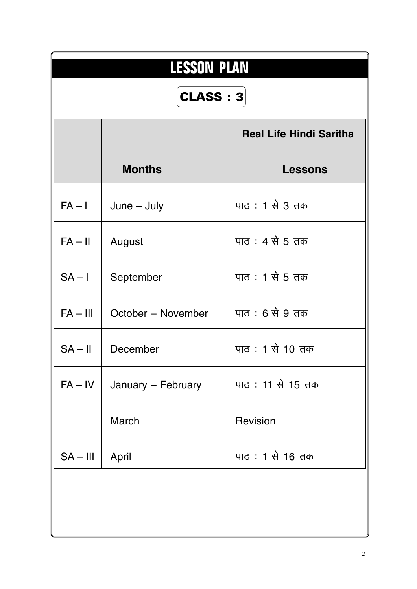| <b>LESSON PLAN</b> |                                |                  |  |  |  |
|--------------------|--------------------------------|------------------|--|--|--|
| <b>CLASS: 3</b>    |                                |                  |  |  |  |
|                    | <b>Real Life Hindi Saritha</b> |                  |  |  |  |
|                    | <b>Months</b>                  | <b>Lessons</b>   |  |  |  |
| $FA - I$           | $June - July$                  | पाठ : 1 से 3 तक  |  |  |  |
| $FA - II$          | August                         | पाठ : 4 से 5 तक  |  |  |  |
| $SA - I$           | September                      | पाठ : 1 से 5 तक  |  |  |  |
| $FA - III$         | October - November             | पाठ : 6 से 9 तक  |  |  |  |
| $SA - II$          | December                       | पाठ: 1 से 10 तक  |  |  |  |
| $FA - IV$          | January - February             | पाठ: 11 से 15 तक |  |  |  |
|                    | <b>March</b>                   | Revision         |  |  |  |
| $SA - III$         | April                          | पाठ: 1 से 16 तक  |  |  |  |
|                    |                                |                  |  |  |  |
|                    |                                |                  |  |  |  |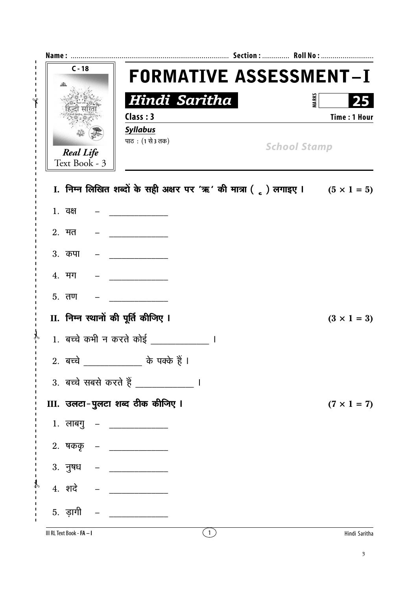| $C - 18$                            | <b>FORMATIVE ASSESSMENT-I</b>                                                             |                     |                           |
|-------------------------------------|-------------------------------------------------------------------------------------------|---------------------|---------------------------|
|                                     | Hindi Saritha<br>Class: 3<br><b>Syllabus</b>                                              | <b>MARKS</b>        | 25<br><b>Time: 1 Hour</b> |
| <b>Real Life</b><br>Text Book - 3   | पाठ: (1 से 3 तक)                                                                          | <b>School Stamp</b> |                           |
|                                     | I. निम्न लिखित शब्दों के सही अक्षर पर 'ऋ' की मात्रा ( $_{c}$ ) लगाइए । $(5 \times 1 = 5)$ |                     |                           |
| 1. वक्ष                             |                                                                                           |                     |                           |
| $2.$ मत                             |                                                                                           |                     |                           |
| 3. कपा                              |                                                                                           |                     |                           |
| 4. मग                               |                                                                                           |                     |                           |
| $5.$ तण                             |                                                                                           |                     |                           |
| II. निम्न स्थानों की पूर्ति कीजिए । |                                                                                           |                     | $(3 \times 1 = 3)$        |
|                                     | 1. बच्चे कभी न करते कोई                                                                   |                     |                           |
|                                     | 2. बच्चे ______________ के पक्के हैं ।                                                    |                     |                           |
|                                     | 3. बच्चे सबसे करते हैं _______________ ।                                                  |                     |                           |
|                                     | III. उलटा-पुलटा शब्द ठीक कीजिए ।                                                          |                     | $(7 \times 1 = 7)$        |
| 1. लाबगु – ____________             |                                                                                           |                     |                           |
| 2. षककृ – ____________              |                                                                                           |                     |                           |
|                                     |                                                                                           |                     |                           |
| $4.$ शदे – $\_\_$                   |                                                                                           |                     |                           |
| 5. ड़ागी                            | $\begin{tabular}{ll} \bf - & \end{tabular}$                                               |                     |                           |
|                                     |                                                                                           |                     |                           |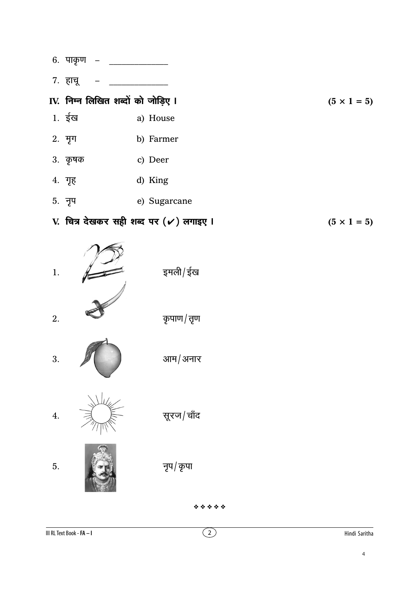- 6. पाकृण
- 7. हाचू

#### IV. निम्न लिखित शब्दों को जोड़िए ।  $(5 \times 1 = 5)$

- 1. ईख a) House
- 2. मृग b) Farmer
- $3.$  कृषक c) Deer
- 4. गृह d) King
- 5. नृप e) Sugarcane
- V. चित्र देखकर सही शब्द पर (√) लगाइए ।  $(5 \times 1 = 5)$



- आम/अनार 3.
- सूरज/चाँद 4.

5.

नृप/कृपा

\*\*\*\*\*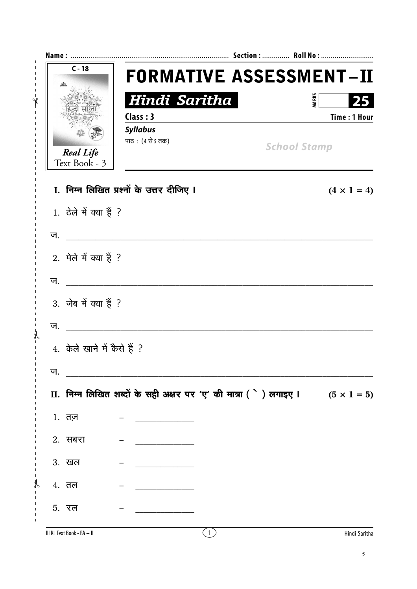|    | $C - 18$                          |                                                                                            | <b>FORMATIVE ASSESSMENT-II</b> |                     |                     |
|----|-----------------------------------|--------------------------------------------------------------------------------------------|--------------------------------|---------------------|---------------------|
|    |                                   | Hindi Saritha                                                                              |                                | <b>MARKS</b>        |                     |
|    |                                   | Class: 3                                                                                   |                                |                     | <b>Time: 1 Hour</b> |
|    |                                   | <b>Syllabus</b><br>पाठ: (4 से 5 तक)                                                        |                                |                     |                     |
|    | <b>Real Life</b><br>Text Book - 3 |                                                                                            |                                | <b>School Stamp</b> |                     |
|    |                                   | I. निम्न लिखित प्रश्नों के उत्तर दीजिए I                                                   |                                |                     | $(4 \times 1 = 4)$  |
|    | 1. ठेले में क्या हैं ?            |                                                                                            |                                |                     |                     |
| ज. |                                   |                                                                                            |                                |                     |                     |
|    |                                   |                                                                                            |                                |                     |                     |
|    | 2. मेले में क्या हैं ?            |                                                                                            |                                |                     |                     |
| ज. |                                   |                                                                                            |                                |                     |                     |
|    | 3. जेब में क्या हैं ?             |                                                                                            |                                |                     |                     |
| ज. |                                   |                                                                                            |                                |                     |                     |
|    | 4. केले खाने में कैसे हैं ?       |                                                                                            |                                |                     |                     |
| ज. |                                   |                                                                                            |                                |                     |                     |
|    |                                   | II. निम्न लिखित शब्दों के सही अक्षर पर 'ए' की मात्रा ( $\rightarrow$ ) लगाइए l (5 x 1 = 5) |                                |                     |                     |
|    | 1. तज <u>़</u>                    |                                                                                            |                                |                     |                     |
|    | 2. सबरा                           |                                                                                            |                                |                     |                     |
|    | 3. खल                             |                                                                                            |                                |                     |                     |
|    | 4. तल                             |                                                                                            |                                |                     |                     |
|    | <b>5.</b> रल                      |                                                                                            |                                |                     |                     |
|    | III RL Text Book - FA - II        |                                                                                            | (1)                            |                     | Hindi Saritha       |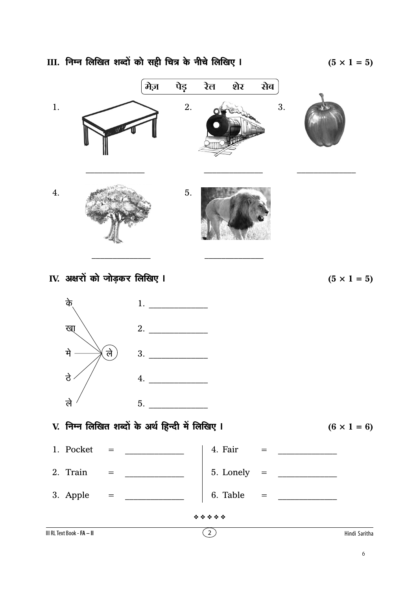III. निम्न लिखित शब्दों को सही चित्र के नीचे लिखिए I

 $(5 \times 1 = 5)$ 

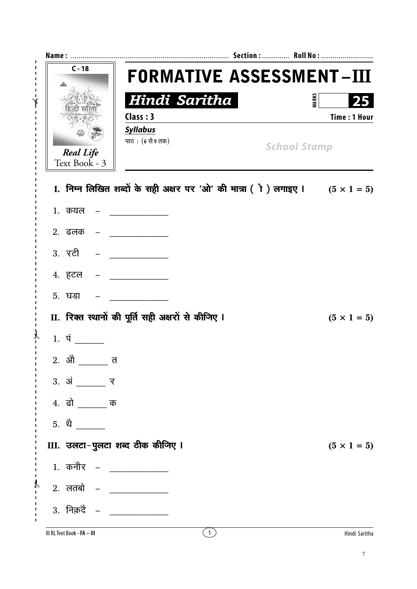| $C - 18$                                                       | <b>FORMATIVE ASSESSMENT-III</b>                                                    |                     |
|----------------------------------------------------------------|------------------------------------------------------------------------------------|---------------------|
|                                                                | Hindi Saritha                                                                      | <b>MARKS</b>        |
|                                                                | Class: 3                                                                           | <b>Time: 1 Hour</b> |
|                                                                | <b>Syllabus</b>                                                                    |                     |
| <b>Real Life</b>                                               | पाठ: (6 से 9 तक)<br><b>School Stamp</b>                                            |                     |
| Text Book - 3                                                  |                                                                                    |                     |
|                                                                | I. निम्न लिखित शब्दों के सही अक्षर पर 'ओ' की मात्रा (ो) लगाइए । $(5 \times 1 = 5)$ |                     |
| 1. कयल                                                         |                                                                                    |                     |
| $2.$ ढलक –                                                     |                                                                                    |                     |
| 3. रटी                                                         |                                                                                    |                     |
| 4. हटल                                                         |                                                                                    |                     |
| <b>5. घडा</b>                                                  |                                                                                    |                     |
|                                                                | II. रिक्त स्थानों की पूर्ति सही अक्षरों से कीजिए I                                 | $(5 \times 1 = 5)$  |
| $1.$ पं                                                        |                                                                                    |                     |
| त                                                              |                                                                                    |                     |
| $3. \,$ $\dot{3}$ $\frac{\ }{2}$ $\frac{\ }{2}$ $\frac{\ }{2}$ |                                                                                    |                     |
| 4. ढो _______ क                                                |                                                                                    |                     |
| 5. थे                                                          |                                                                                    |                     |
|                                                                | III. उलटा-पुलटा शब्द ठीक कीजिए ।                                                   | $(5 \times 1 = 5)$  |
| 1. कनौर – ____________                                         |                                                                                    |                     |
| 2. लतबो – _____________                                        |                                                                                    |                     |
| $3.$ निक़दें $-$                                               |                                                                                    |                     |
| III RL Text Book - FA - III                                    | $\left(1\right)$                                                                   | Hindi Saritha       |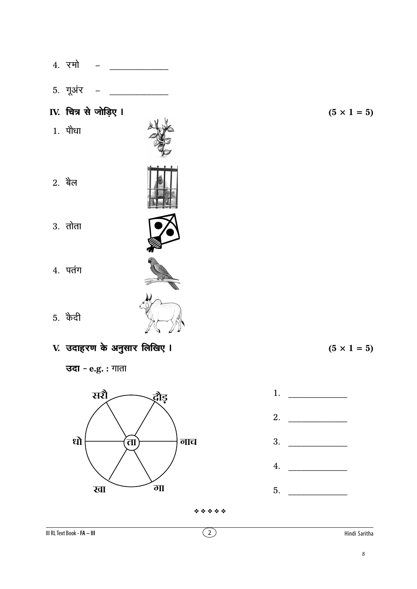- 4. रमो  $\frac{1}{2}$
- 5. गूअंर

#### IV. चित्र से जोड़िए ।

1. पौधा

- $2.$  बैल
- $3.$  तोता

| ı<br>d<br>. .<br>u. |
|---------------------|

- **5.** कैदी
- V. उदाहरण के अनुसार लिखिए I

**उदा** - e.g. : गाता









\*\*\*\*\*

III RL Text Book - FA - III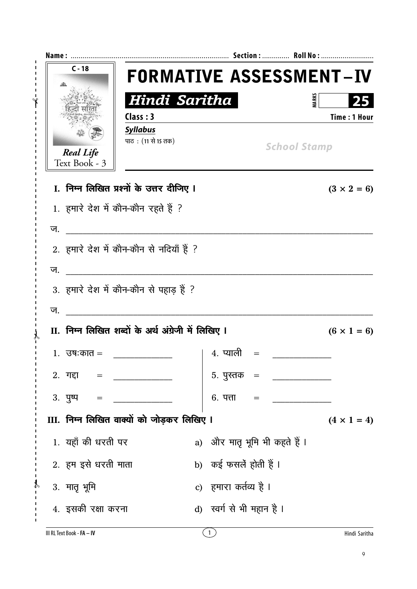| $C - 18$                          | <b>FORMATIVE ASSESSMENT-IV</b>                      |                               |                                                                                                                                                                                                                                                                                                                                                                                                         |                     |
|-----------------------------------|-----------------------------------------------------|-------------------------------|---------------------------------------------------------------------------------------------------------------------------------------------------------------------------------------------------------------------------------------------------------------------------------------------------------------------------------------------------------------------------------------------------------|---------------------|
|                                   | Hindi Saritha                                       |                               | <b>MARKS</b>                                                                                                                                                                                                                                                                                                                                                                                            |                     |
|                                   | Class: 3                                            |                               |                                                                                                                                                                                                                                                                                                                                                                                                         | <b>Time: 1 Hour</b> |
|                                   | <b>Syllabus</b><br>पाठ: (11 से 15 तक)               |                               | <b>School Stamp</b>                                                                                                                                                                                                                                                                                                                                                                                     |                     |
| <b>Real Life</b><br>Text Book - 3 |                                                     |                               |                                                                                                                                                                                                                                                                                                                                                                                                         |                     |
|                                   | I. निम्न लिखित प्रश्नों के उत्तर दीजिए I            |                               |                                                                                                                                                                                                                                                                                                                                                                                                         | $(3 \times 2 = 6)$  |
|                                   | 1. हमारे देश में कौन-कौन रहते हैं ?                 |                               |                                                                                                                                                                                                                                                                                                                                                                                                         |                     |
| ज.                                | <u> 2001 - Jan Barbarat, manala</u>                 |                               |                                                                                                                                                                                                                                                                                                                                                                                                         |                     |
|                                   | 2. हमारे देश में कौन-कौन से नदियाँ हैं ?            |                               |                                                                                                                                                                                                                                                                                                                                                                                                         |                     |
| ज.                                |                                                     |                               |                                                                                                                                                                                                                                                                                                                                                                                                         |                     |
|                                   | 3. हमारे देश में कौन-कौन से पहाड़ हैं ?             |                               |                                                                                                                                                                                                                                                                                                                                                                                                         |                     |
| ज.                                |                                                     |                               |                                                                                                                                                                                                                                                                                                                                                                                                         |                     |
|                                   | II. निम्न लिखित शब्दों के अर्थ अंग्रेजी में लिखिए I |                               |                                                                                                                                                                                                                                                                                                                                                                                                         | $(6 \times 1 = 6)$  |
| $1.$ उषःकात =                     |                                                     | 4. प्याली                     |                                                                                                                                                                                                                                                                                                                                                                                                         |                     |
| 2. गद्दा = ___________            |                                                     | 5. पुस्तक   =                 |                                                                                                                                                                                                                                                                                                                                                                                                         |                     |
| $3. \overline{y}$ =               | $\overline{\phantom{a}}$                            |                               | 6. पत्ता = $\frac{1}{\sqrt{1-\frac{1}{2}}\sqrt{1-\frac{1}{2}}\sqrt{1-\frac{1}{2}}\sqrt{1-\frac{1}{2}}\sqrt{1-\frac{1}{2}}\sqrt{1-\frac{1}{2}}\sqrt{1-\frac{1}{2}}\sqrt{1-\frac{1}{2}}\sqrt{1-\frac{1}{2}}\sqrt{1-\frac{1}{2}}\sqrt{1-\frac{1}{2}}\sqrt{1-\frac{1}{2}}\sqrt{1-\frac{1}{2}}\sqrt{1-\frac{1}{2}}\sqrt{1-\frac{1}{2}}\sqrt{1-\frac{1}{2}}\sqrt{1-\frac{1}{2}}\sqrt{1-\frac{1}{2}}\sqrt{1-\$ |                     |
|                                   | III. निम्न लिखित वाक्यों को जोड़कर लिखिए ।          |                               |                                                                                                                                                                                                                                                                                                                                                                                                         | $(4 \times 1 = 4)$  |
| 1. यहाँ की धरती पर                |                                                     | a) और मातृ भूमि भी कहते हैं । |                                                                                                                                                                                                                                                                                                                                                                                                         |                     |
| 2. हम इसे धरती माता               |                                                     | b) कई फसलें होती हैं।         |                                                                                                                                                                                                                                                                                                                                                                                                         |                     |
| 3. मातृ भूमि<br>ρ                 |                                                     | c) हमारा कर्तव्य है ।         |                                                                                                                                                                                                                                                                                                                                                                                                         |                     |
| 4. इसकी रक्षा करना                |                                                     | d) स्वर्ग से भी महान है।      |                                                                                                                                                                                                                                                                                                                                                                                                         |                     |
|                                   |                                                     |                               |                                                                                                                                                                                                                                                                                                                                                                                                         |                     |

 $\frac{1}{2}$  $\overline{1}$ 

 $\blacksquare$  $\overline{1}$ 

Ÿ